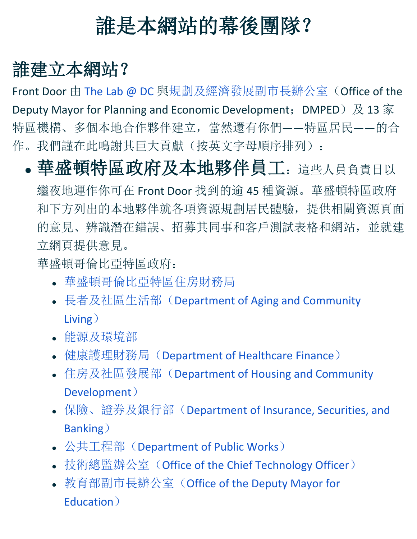## 誰是本網站的幕後團隊?

## 誰建立本網站?

Front Door 由 [The Lab @ DC](https://thelab.dc.gov/) [與規劃及經濟發展副市長辦公室\(](https://dmped.dc.gov/)Office of the Deputy Mayor for Planning and Economic Development; DMPED) 及 13 家 特區機構、多個本地合作夥伴建立, 當然還有你們——特區居民——的合 作。我們謹在此鳴謝其巨大貢獻(按英文字母順序排列):

• 華盛頓特區政府及本地夥伴員工:這些人員負責日以

繼夜地運作你可在 Front Door 找到的逾 45 種資源。華盛頓特區政府 和下方列出的本地夥伴就各項資源規劃居民體驗,提供相關資源頁面 的意見、辨識潛在錯誤、招募其同事和客戶測試表格和網站,並就建 立網頁提供意見。

華盛頓哥倫比亞特區政府:

- [華盛頓哥倫比亞特區住房財務局](http://dchfa.org/)
- 長者及社區生活部([Department of Aging and Community](http://dacl.dc.gov/)  [Living](http://dacl.dc.gov/))
- [能源及環境部](http://doee.dc.gov/)
- 健康護理財務局([Department of Healthcare Finance](http://dchf.dc.gov/))
- 住房及社區發展部([Department of Housing and Community](http://dhcd.dc.gov/)  [Development](http://dhcd.dc.gov/))
- 保險、證券及銀行部([Department of Insurance, Securities, and](http://disb.dc.gov/)  [Banking](http://disb.dc.gov/))
- 公共工程部([Department of Public Works](https://dpw.dc.gov/))
- 技術總監辦公室([Office of the Chief Technology Officer](http://octo.dc.gov/) )
- 教育部副市長辦公室([Office of the Deputy Mayor for](http://dme.dc.gov/)  [Education](http://dme.dc.gov/))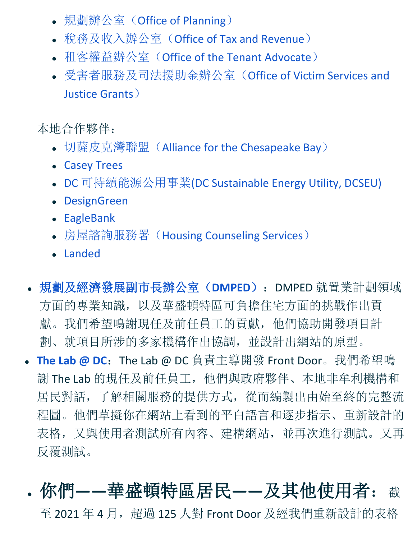- 規劃辦公室([Office of Planning](http://op.dc.gov/))
- 稅務及收入辦公室([Office of Tax and Revenue](http://otr.dc.gov/))
- 租客權益辦公室 ([Office of the Tenant Advocate](https://ota.dc.gov/))
- [受害者服務及司法援助金辦公室\(](http://ovsjg.dc.gov/)[Office of Victim Services and](http://ovsjg.dc.gov/)  [Justice Grants](http://ovsjg.dc.gov/))

本地合作夥伴:

- 切薩皮克灣聯盟([Alliance for the Chesapeake Bay](https://www.allianceforthebay.org/))
- [Casey Trees](https://caseytrees.org/)
- DC 可持續能源公用事業[\(DC Sustainable Energy Utility, DCSEU\)](https://www.dcseu.com/)
- [DesignGreen](https://www.designgreenllc.com/)
- [EagleBank](https://www.eaglebankcorp.com/)
- 房屋諮詢服務署([Housing Counseling Services](http://housingetc.org/))
- [Landed](https://www.landed.com/dc)
- [規劃及經濟發展副市長辦公室\(](https://dmped.dc.gov/)**DMPED**):DMPED 就置業計劃領域 方面的專業知識,以及華盛頓特區可負擔住宅方面的挑戰作出貢 獻。我們希望鳴謝現任及前任員工的貢獻,他們協助開發項目計 劃、就項目所涉的多家機構作出協調,並設計出網站的原型。
- **[The Lab @ DC](https://thelab.dc.gov/):** The Lab @ DC 負責主導開發 Front Door。我們希望鳴 謝 The Lab 的現任及前任員工,他們與政府夥伴、本地非牟利機構和 居民對話,了解相關服務的提供方式,從而編製出由始至終的完整流 程圖。他們草擬你在網站上看到的平白語言和逐步指示、重新設計的 表格,又與使用者測試所有內容、建構網站,並再次進行測試。又再 反覆測試。
- 你們**——**華盛頓特區居民**——**及其他使用者:<sup>截</sup> 至 2021 年 4 月, 超過 125 人對 Front Door 及經我們重新設計的表格